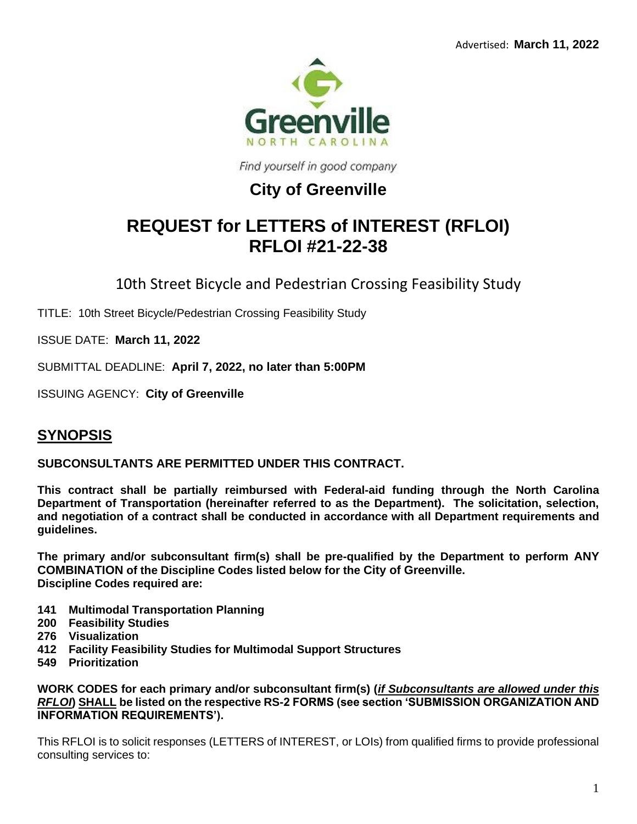

Find yourself in good company

## **City of Greenville**

# **REQUEST for LETTERS of INTEREST (RFLOI) RFLOI #21-22-38**

10th Street Bicycle and Pedestrian Crossing Feasibility Study

TITLE: 10th Street Bicycle/Pedestrian Crossing Feasibility Study

ISSUE DATE: **March 11, 2022**

SUBMITTAL DEADLINE: **April 7, 2022, no later than 5:00PM**

ISSUING AGENCY: **City of Greenville**

## **SYNOPSIS**

**SUBCONSULTANTS ARE PERMITTED UNDER THIS CONTRACT.**

**This contract shall be partially reimbursed with Federal-aid funding through the North Carolina Department of Transportation (hereinafter referred to as the Department). The solicitation, selection, and negotiation of a contract shall be conducted in accordance with all Department requirements and guidelines.**

**The primary and/or subconsultant firm(s) shall be pre-qualified by the Department to perform ANY COMBINATION of the Discipline Codes listed below for the City of Greenville. Discipline Codes required are:**

- **141 Multimodal Transportation Planning**
- **200 Feasibility Studies**
- **276 Visualization**
- **412 Facility Feasibility Studies for Multimodal Support Structures**
- **549 Prioritization**

**WORK CODES for each primary and/or subconsultant firm(s) (***if Subconsultants are allowed under this RFLOI***) SHALL be listed on the respective RS-2 FORMS (see section 'SUBMISSION ORGANIZATION AND INFORMATION REQUIREMENTS').**

This RFLOI is to solicit responses (LETTERS of INTEREST, or LOIs) from qualified firms to provide professional consulting services to: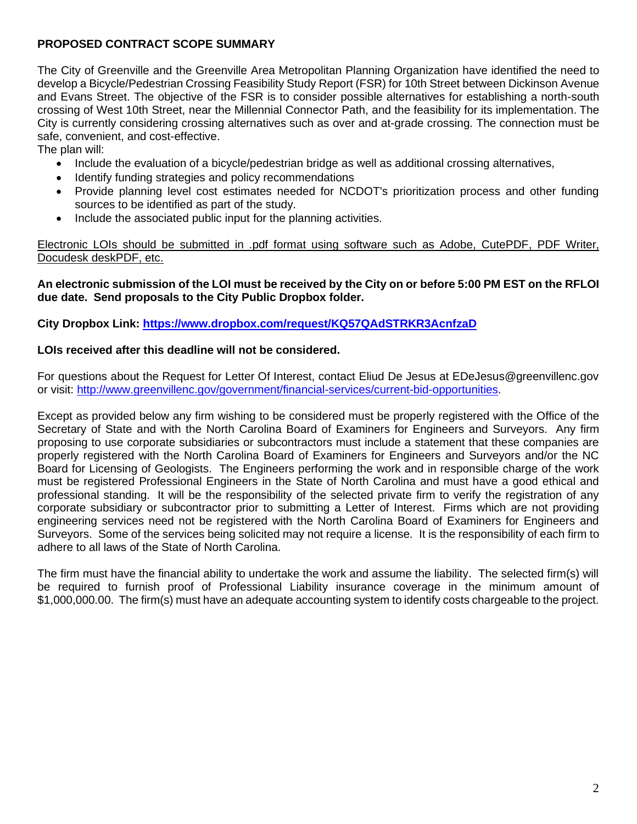## **PROPOSED CONTRACT SCOPE SUMMARY**

The City of Greenville and the Greenville Area Metropolitan Planning Organization have identified the need to develop a Bicycle/Pedestrian Crossing Feasibility Study Report (FSR) for 10th Street between Dickinson Avenue and Evans Street. The objective of the FSR is to consider possible alternatives for establishing a north-south crossing of West 10th Street, near the Millennial Connector Path, and the feasibility for its implementation. The City is currently considering crossing alternatives such as over and at-grade crossing. The connection must be safe, convenient, and cost-effective.

The plan will:

- Include the evaluation of a bicycle/pedestrian bridge as well as additional crossing alternatives,
- Identify funding strategies and policy recommendations
- Provide planning level cost estimates needed for NCDOT's prioritization process and other funding sources to be identified as part of the study.
- Include the associated public input for the planning activities.

Electronic LOIs should be submitted in .pdf format using software such as Adobe, CutePDF, PDF Writer, Docudesk deskPDF, etc.

## **An electronic submission of the LOI must be received by the City on or before 5:00 PM EST on the RFLOI due date. Send proposals to the City Public Dropbox folder.**

**City Dropbox Link:<https://www.dropbox.com/request/KQ57QAdSTRKR3AcnfzaD>**

## **LOIs received after this deadline will not be considered.**

For questions about the Request for Letter Of Interest, contact Eliud De Jesus at EDeJesus@greenvillenc.gov or visit: [http://www.greenvillenc.gov/government/financial-services/current-bid-opportunities.](http://www.greenvillenc.gov/government/financial-services/current-bid-opportunities)

Except as provided below any firm wishing to be considered must be properly registered with the Office of the Secretary of State and with the North Carolina Board of Examiners for Engineers and Surveyors. Any firm proposing to use corporate subsidiaries or subcontractors must include a statement that these companies are properly registered with the North Carolina Board of Examiners for Engineers and Surveyors and/or the NC Board for Licensing of Geologists. The Engineers performing the work and in responsible charge of the work must be registered Professional Engineers in the State of North Carolina and must have a good ethical and professional standing. It will be the responsibility of the selected private firm to verify the registration of any corporate subsidiary or subcontractor prior to submitting a Letter of Interest. Firms which are not providing engineering services need not be registered with the North Carolina Board of Examiners for Engineers and Surveyors. Some of the services being solicited may not require a license. It is the responsibility of each firm to adhere to all laws of the State of North Carolina.

The firm must have the financial ability to undertake the work and assume the liability. The selected firm(s) will be required to furnish proof of Professional Liability insurance coverage in the minimum amount of \$1,000,000.00. The firm(s) must have an adequate accounting system to identify costs chargeable to the project.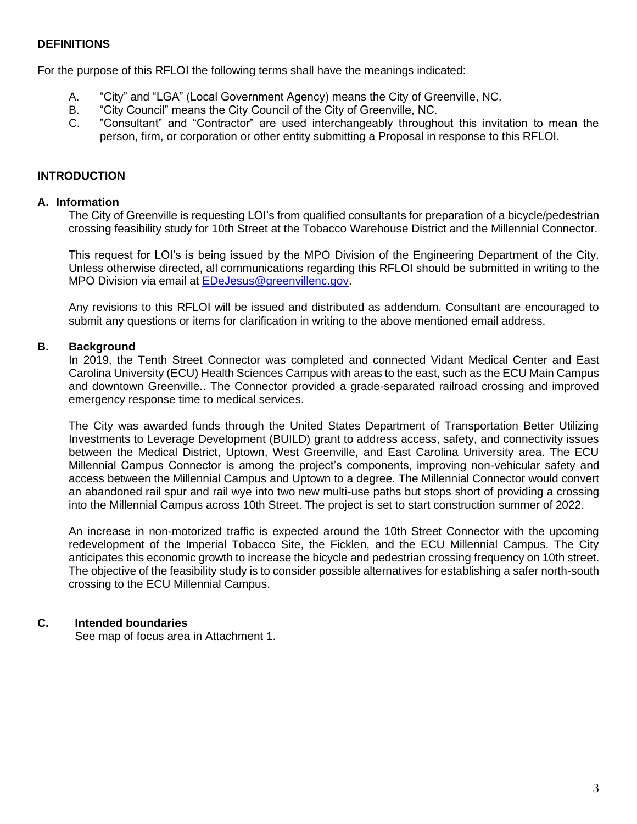## **DEFINITIONS**

For the purpose of this RFLOI the following terms shall have the meanings indicated:

- A. "City" and "LGA" (Local Government Agency) means the City of Greenville, NC.
- B. "City Council" means the City Council of the City of Greenville, NC.
- C. "Consultant" and "Contractor" are used interchangeably throughout this invitation to mean the person, firm, or corporation or other entity submitting a Proposal in response to this RFLOI.

## **INTRODUCTION**

#### **A. Information**

The City of Greenville is requesting LOI's from qualified consultants for preparation of a bicycle/pedestrian crossing feasibility study for 10th Street at the Tobacco Warehouse District and the Millennial Connector.

This request for LOI's is being issued by the MPO Division of the Engineering Department of the City. Unless otherwise directed, all communications regarding this RFLOI should be submitted in writing to the MPO Division via email at [EDeJesus@greenvillenc.gov.](mailto:EDeJesus@greenvillenc.gov)

Any revisions to this RFLOI will be issued and distributed as addendum. Consultant are encouraged to submit any questions or items for clarification in writing to the above mentioned email address.

#### **B. Background**

In 2019, the Tenth Street Connector was completed and connected Vidant Medical Center and East Carolina University (ECU) Health Sciences Campus with areas to the east, such as the ECU Main Campus and downtown Greenville.. The Connector provided a grade-separated railroad crossing and improved emergency response time to medical services.

The City was awarded funds through the United States Department of Transportation Better Utilizing Investments to Leverage Development (BUILD) grant to address access, safety, and connectivity issues between the Medical District, Uptown, West Greenville, and East Carolina University area. The ECU Millennial Campus Connector is among the project's components, improving non-vehicular safety and access between the Millennial Campus and Uptown to a degree. The Millennial Connector would convert an abandoned rail spur and rail wye into two new multi-use paths but stops short of providing a crossing into the Millennial Campus across 10th Street. The project is set to start construction summer of 2022.

An increase in non-motorized traffic is expected around the 10th Street Connector with the upcoming redevelopment of the Imperial Tobacco Site, the Ficklen, and the ECU Millennial Campus. The City anticipates this economic growth to increase the bicycle and pedestrian crossing frequency on 10th street. The objective of the feasibility study is to consider possible alternatives for establishing a safer north-south crossing to the ECU Millennial Campus.

## **C. Intended boundaries**

See map of focus area in Attachment 1.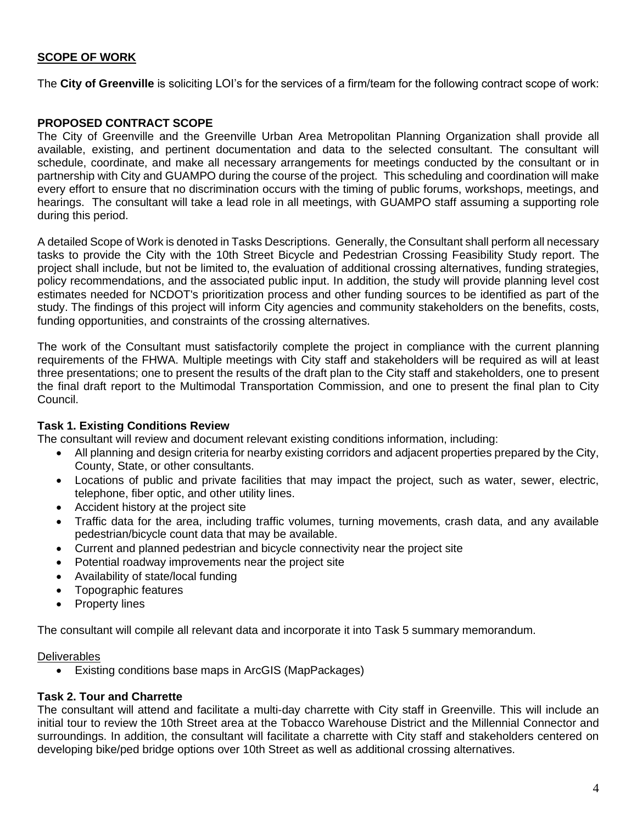## **SCOPE OF WORK**

The **City of Greenville** is soliciting LOI's for the services of a firm/team for the following contract scope of work:

#### **PROPOSED CONTRACT SCOPE**

The City of Greenville and the Greenville Urban Area Metropolitan Planning Organization shall provide all available, existing, and pertinent documentation and data to the selected consultant. The consultant will schedule, coordinate, and make all necessary arrangements for meetings conducted by the consultant or in partnership with City and GUAMPO during the course of the project. This scheduling and coordination will make every effort to ensure that no discrimination occurs with the timing of public forums, workshops, meetings, and hearings. The consultant will take a lead role in all meetings, with GUAMPO staff assuming a supporting role during this period.

A detailed Scope of Work is denoted in Tasks Descriptions. Generally, the Consultant shall perform all necessary tasks to provide the City with the 10th Street Bicycle and Pedestrian Crossing Feasibility Study report. The project shall include, but not be limited to, the evaluation of additional crossing alternatives, funding strategies, policy recommendations, and the associated public input. In addition, the study will provide planning level cost estimates needed for NCDOT's prioritization process and other funding sources to be identified as part of the study. The findings of this project will inform City agencies and community stakeholders on the benefits, costs, funding opportunities, and constraints of the crossing alternatives.

The work of the Consultant must satisfactorily complete the project in compliance with the current planning requirements of the FHWA. Multiple meetings with City staff and stakeholders will be required as will at least three presentations; one to present the results of the draft plan to the City staff and stakeholders, one to present the final draft report to the Multimodal Transportation Commission, and one to present the final plan to City Council.

#### **Task 1. Existing Conditions Review**

The consultant will review and document relevant existing conditions information, including:

- All planning and design criteria for nearby existing corridors and adjacent properties prepared by the City, County, State, or other consultants.
- Locations of public and private facilities that may impact the project, such as water, sewer, electric, telephone, fiber optic, and other utility lines.
- Accident history at the project site
- Traffic data for the area, including traffic volumes, turning movements, crash data, and any available pedestrian/bicycle count data that may be available.
- Current and planned pedestrian and bicycle connectivity near the project site
- Potential roadway improvements near the project site
- Availability of state/local funding
- Topographic features
- Property lines

The consultant will compile all relevant data and incorporate it into Task 5 summary memorandum.

#### **Deliverables**

• Existing conditions base maps in ArcGIS (MapPackages)

#### **Task 2. Tour and Charrette**

The consultant will attend and facilitate a multi-day charrette with City staff in Greenville. This will include an initial tour to review the 10th Street area at the Tobacco Warehouse District and the Millennial Connector and surroundings. In addition, the consultant will facilitate a charrette with City staff and stakeholders centered on developing bike/ped bridge options over 10th Street as well as additional crossing alternatives.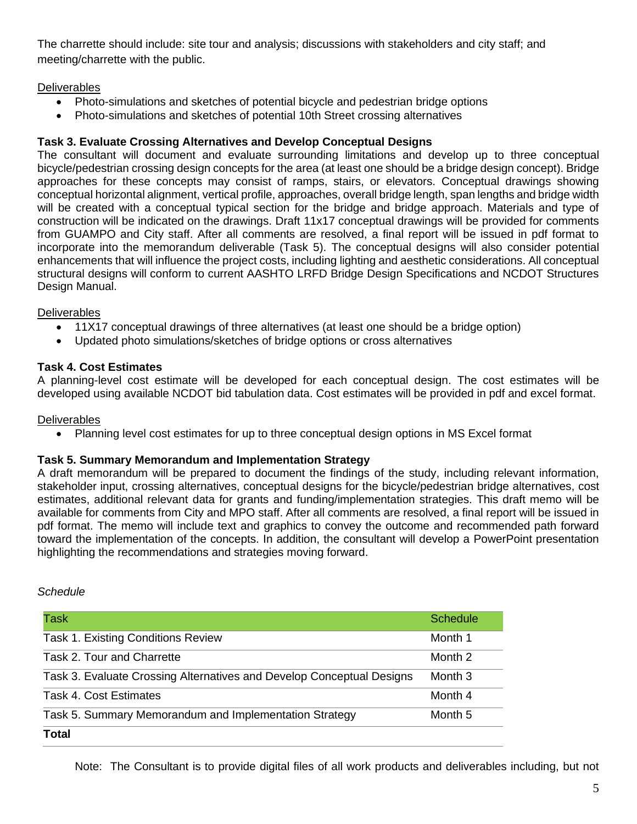The charrette should include: site tour and analysis; discussions with stakeholders and city staff; and meeting/charrette with the public.

## **Deliverables**

- Photo-simulations and sketches of potential bicycle and pedestrian bridge options
- Photo-simulations and sketches of potential 10th Street crossing alternatives

## **Task 3. Evaluate Crossing Alternatives and Develop Conceptual Designs**

The consultant will document and evaluate surrounding limitations and develop up to three conceptual bicycle/pedestrian crossing design concepts for the area (at least one should be a bridge design concept). Bridge approaches for these concepts may consist of ramps, stairs, or elevators. Conceptual drawings showing conceptual horizontal alignment, vertical profile, approaches, overall bridge length, span lengths and bridge width will be created with a conceptual typical section for the bridge and bridge approach. Materials and type of construction will be indicated on the drawings. Draft 11x17 conceptual drawings will be provided for comments from GUAMPO and City staff. After all comments are resolved, a final report will be issued in pdf format to incorporate into the memorandum deliverable (Task 5). The conceptual designs will also consider potential enhancements that will influence the project costs, including lighting and aesthetic considerations. All conceptual structural designs will conform to current AASHTO LRFD Bridge Design Specifications and NCDOT Structures Design Manual.

## **Deliverables**

- 11X17 conceptual drawings of three alternatives (at least one should be a bridge option)
- Updated photo simulations/sketches of bridge options or cross alternatives

## **Task 4. Cost Estimates**

A planning-level cost estimate will be developed for each conceptual design. The cost estimates will be developed using available NCDOT bid tabulation data. Cost estimates will be provided in pdf and excel format.

## **Deliverables**

• Planning level cost estimates for up to three conceptual design options in MS Excel format

## **Task 5. Summary Memorandum and Implementation Strategy**

A draft memorandum will be prepared to document the findings of the study, including relevant information, stakeholder input, crossing alternatives, conceptual designs for the bicycle/pedestrian bridge alternatives, cost estimates, additional relevant data for grants and funding/implementation strategies. This draft memo will be available for comments from City and MPO staff. After all comments are resolved, a final report will be issued in pdf format. The memo will include text and graphics to convey the outcome and recommended path forward toward the implementation of the concepts. In addition, the consultant will develop a PowerPoint presentation highlighting the recommendations and strategies moving forward.

#### *Schedule*

| Task                                                                  | <b>Schedule</b> |
|-----------------------------------------------------------------------|-----------------|
| <b>Task 1. Existing Conditions Review</b>                             | Month 1         |
| Task 2. Tour and Charrette                                            | Month 2         |
| Task 3. Evaluate Crossing Alternatives and Develop Conceptual Designs | Month 3         |
| Task 4. Cost Estimates                                                | Month 4         |
| Task 5. Summary Memorandum and Implementation Strategy                | Month 5         |
| <b>Total</b>                                                          |                 |

Note: The Consultant is to provide digital files of all work products and deliverables including, but not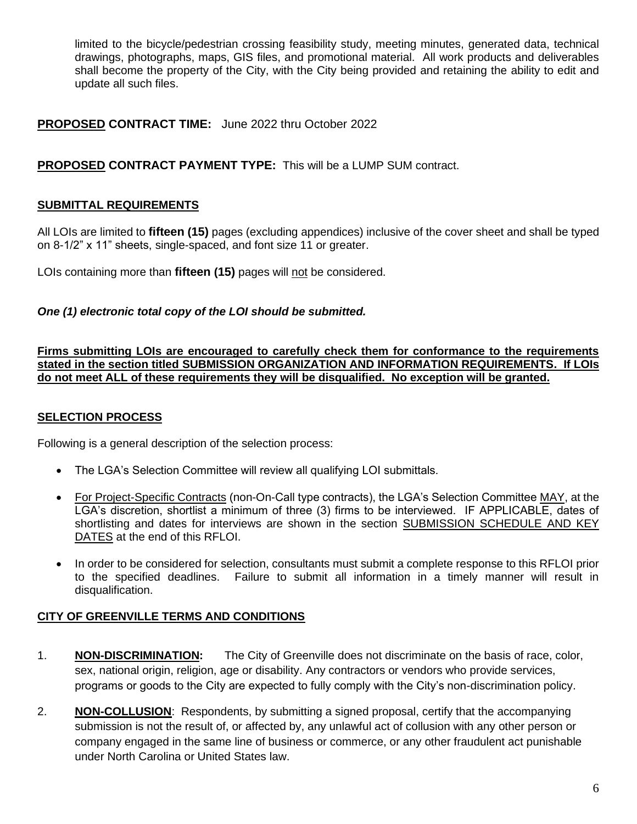limited to the bicycle/pedestrian crossing feasibility study, meeting minutes, generated data, technical drawings, photographs, maps, GIS files, and promotional material. All work products and deliverables shall become the property of the City, with the City being provided and retaining the ability to edit and update all such files.

## **PROPOSED CONTRACT TIME:** June 2022 thru October 2022

## **PROPOSED CONTRACT PAYMENT TYPE:** This will be a LUMP SUM contract.

## **SUBMITTAL REQUIREMENTS**

All LOIs are limited to **fifteen (15)** pages (excluding appendices) inclusive of the cover sheet and shall be typed on 8-1/2" x 11" sheets, single-spaced, and font size 11 or greater.

LOIs containing more than **fifteen (15)** pages will not be considered.

## *One (1) electronic total copy of the LOI should be submitted.*

**Firms submitting LOIs are encouraged to carefully check them for conformance to the requirements stated in the section titled SUBMISSION ORGANIZATION AND INFORMATION REQUIREMENTS. If LOIs do not meet ALL of these requirements they will be disqualified. No exception will be granted.**

## **SELECTION PROCESS**

Following is a general description of the selection process:

- The LGA's Selection Committee will review all qualifying LOI submittals.
- For Project-Specific Contracts (non-On-Call type contracts), the LGA's Selection Committee MAY, at the LGA's discretion, shortlist a minimum of three (3) firms to be interviewed. IF APPLICABLE, dates of shortlisting and dates for interviews are shown in the section SUBMISSION SCHEDULE AND KEY DATES at the end of this RFLOI.
- In order to be considered for selection, consultants must submit a complete response to this RFLOI prior to the specified deadlines. Failure to submit all information in a timely manner will result in disqualification.

## **CITY OF GREENVILLE TERMS AND CONDITIONS**

- 1. **NON-DISCRIMINATION:** The City of Greenville does not discriminate on the basis of race, color, sex, national origin, religion, age or disability. Any contractors or vendors who provide services, programs or goods to the City are expected to fully comply with the City's non-discrimination policy.
- 2. **NON-COLLUSION**: Respondents, by submitting a signed proposal, certify that the accompanying submission is not the result of, or affected by, any unlawful act of collusion with any other person or company engaged in the same line of business or commerce, or any other fraudulent act punishable under North Carolina or United States law.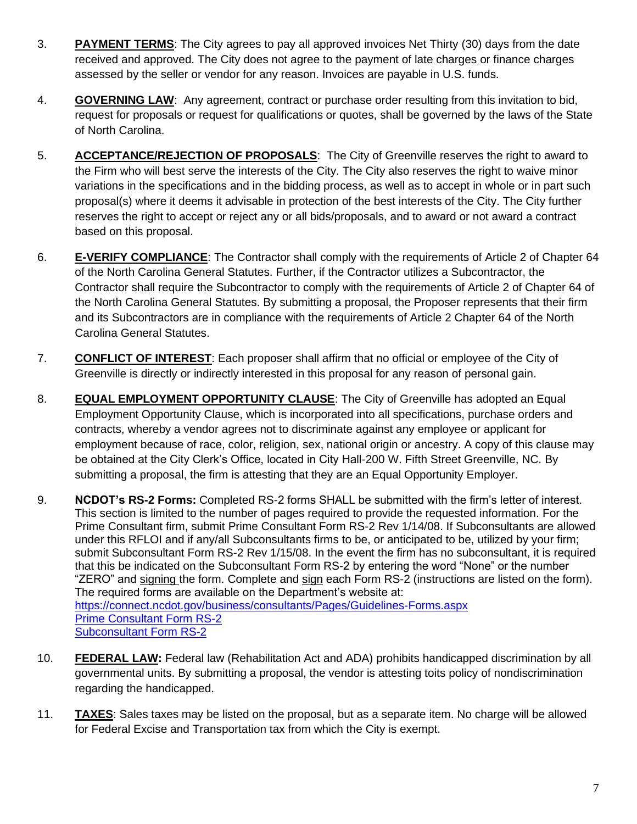- 3. **PAYMENT TERMS**: The City agrees to pay all approved invoices Net Thirty (30) days from the date received and approved. The City does not agree to the payment of late charges or finance charges assessed by the seller or vendor for any reason. Invoices are payable in U.S. funds.
- 4. **GOVERNING LAW**: Any agreement, contract or purchase order resulting from this invitation to bid, request for proposals or request for qualifications or quotes, shall be governed by the laws of the State of North Carolina.
- 5. **ACCEPTANCE/REJECTION OF PROPOSALS**: The City of Greenville reserves the right to award to the Firm who will best serve the interests of the City. The City also reserves the right to waive minor variations in the specifications and in the bidding process, as well as to accept in whole or in part such proposal(s) where it deems it advisable in protection of the best interests of the City. The City further reserves the right to accept or reject any or all bids/proposals, and to award or not award a contract based on this proposal.
- 6. **E-VERIFY COMPLIANCE**: The Contractor shall comply with the requirements of Article 2 of Chapter 64 of the North Carolina General Statutes. Further, if the Contractor utilizes a Subcontractor, the Contractor shall require the Subcontractor to comply with the requirements of Article 2 of Chapter 64 of the North Carolina General Statutes. By submitting a proposal, the Proposer represents that their firm and its Subcontractors are in compliance with the requirements of Article 2 Chapter 64 of the North Carolina General Statutes.
- 7. **CONFLICT OF INTEREST**: Each proposer shall affirm that no official or employee of the City of Greenville is directly or indirectly interested in this proposal for any reason of personal gain.
- 8. **EQUAL EMPLOYMENT OPPORTUNITY CLAUSE**: The City of Greenville has adopted an Equal Employment Opportunity Clause, which is incorporated into all specifications, purchase orders and contracts, whereby a vendor agrees not to discriminate against any employee or applicant for employment because of race, color, religion, sex, national origin or ancestry. A copy of this clause may be obtained at the City Clerk's Office, located in City Hall-200 W. Fifth Street Greenville, NC. By submitting a proposal, the firm is attesting that they are an Equal Opportunity Employer.
- 9. **NCDOT's RS-2 Forms:** Completed RS-2 forms SHALL be submitted with the firm's letter of interest. This section is limited to the number of pages required to provide the requested information. For the Prime Consultant firm, submit Prime Consultant Form RS-2 Rev 1/14/08. If Subconsultants are allowed under this RFLOI and if any/all Subconsultants firms to be, or anticipated to be, utilized by your firm; submit Subconsultant Form RS-2 Rev 1/15/08. In the event the firm has no subconsultant, it is required that this be indicated on the Subconsultant Form RS-2 by entering the word "None" or the number "ZERO" and signing the form. Complete and sign each Form RS-2 (instructions are listed on the form). The required forms are available on the Department's website at: <https://connect.ncdot.gov/business/consultants/Pages/Guidelines-Forms.aspx> [Prime Consultant Form RS-2](https://connect.ncdot.gov/business/consultants/Roadway/Form%20RS-2%20Prime%20Contractor%20(Task%20Orders%20ONLY).pdf) [Subconsultant Form RS-2](https://connect.ncdot.gov/business/consultants/Roadway/Form%20RS-2%20Subcontract%20(Task%20Orders%20ONLY).pdf)
- 10. **FEDERAL LAW:** Federal law (Rehabilitation Act and ADA) prohibits handicapped discrimination by all governmental units. By submitting a proposal, the vendor is attesting toits policy of nondiscrimination regarding the handicapped.
- 11. **TAXES**: Sales taxes may be listed on the proposal, but as a separate item. No charge will be allowed for Federal Excise and Transportation tax from which the City is exempt.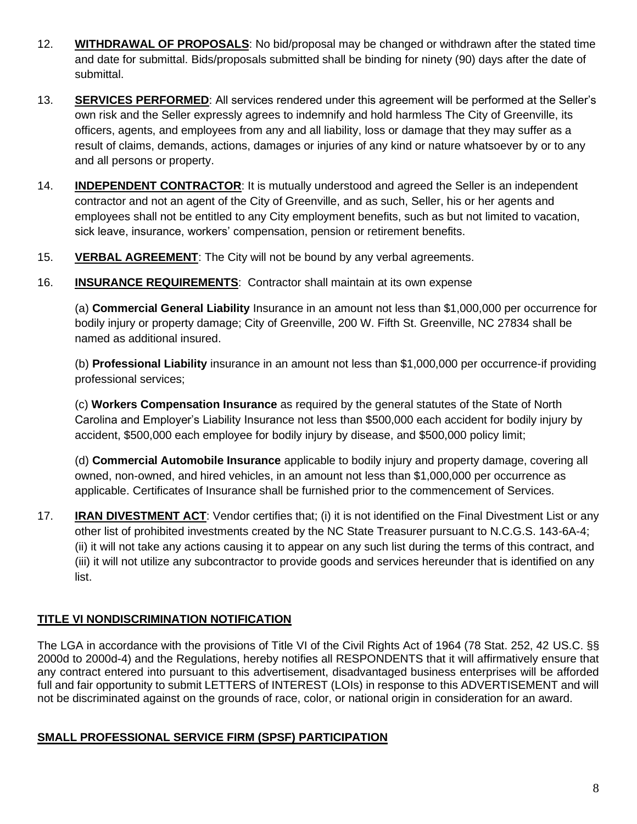- 12. **WITHDRAWAL OF PROPOSALS**: No bid/proposal may be changed or withdrawn after the stated time and date for submittal. Bids/proposals submitted shall be binding for ninety (90) days after the date of submittal.
- 13. **SERVICES PERFORMED**: All services rendered under this agreement will be performed at the Seller's own risk and the Seller expressly agrees to indemnify and hold harmless The City of Greenville, its officers, agents, and employees from any and all liability, loss or damage that they may suffer as a result of claims, demands, actions, damages or injuries of any kind or nature whatsoever by or to any and all persons or property.
- 14. **INDEPENDENT CONTRACTOR**: It is mutually understood and agreed the Seller is an independent contractor and not an agent of the City of Greenville, and as such, Seller, his or her agents and employees shall not be entitled to any City employment benefits, such as but not limited to vacation, sick leave, insurance, workers' compensation, pension or retirement benefits.
- 15. **VERBAL AGREEMENT**: The City will not be bound by any verbal agreements.
- 16. **INSURANCE REQUIREMENTS**: Contractor shall maintain at its own expense

(a) **Commercial General Liability** Insurance in an amount not less than \$1,000,000 per occurrence for bodily injury or property damage; City of Greenville, 200 W. Fifth St. Greenville, NC 27834 shall be named as additional insured.

(b) **Professional Liability** insurance in an amount not less than \$1,000,000 per occurrence-if providing professional services;

(c) **Workers Compensation Insurance** as required by the general statutes of the State of North Carolina and Employer's Liability Insurance not less than \$500,000 each accident for bodily injury by accident, \$500,000 each employee for bodily injury by disease, and \$500,000 policy limit;

(d) **Commercial Automobile Insurance** applicable to bodily injury and property damage, covering all owned, non-owned, and hired vehicles, in an amount not less than \$1,000,000 per occurrence as applicable. Certificates of Insurance shall be furnished prior to the commencement of Services.

17. **IRAN DIVESTMENT ACT**: Vendor certifies that; (i) it is not identified on the Final Divestment List or any other list of prohibited investments created by the NC State Treasurer pursuant to N.C.G.S. 143-6A-4; (ii) it will not take any actions causing it to appear on any such list during the terms of this contract, and (iii) it will not utilize any subcontractor to provide goods and services hereunder that is identified on any list.

## **TITLE VI NONDISCRIMINATION NOTIFICATION**

The LGA in accordance with the provisions of Title VI of the Civil Rights Act of 1964 (78 Stat. 252, 42 US.C. §§ 2000d to 2000d-4) and the Regulations, hereby notifies all RESPONDENTS that it will affirmatively ensure that any contract entered into pursuant to this advertisement, disadvantaged business enterprises will be afforded full and fair opportunity to submit LETTERS of INTEREST (LOIs) in response to this ADVERTISEMENT and will not be discriminated against on the grounds of race, color, or national origin in consideration for an award.

## **SMALL PROFESSIONAL SERVICE FIRM (SPSF) PARTICIPATION**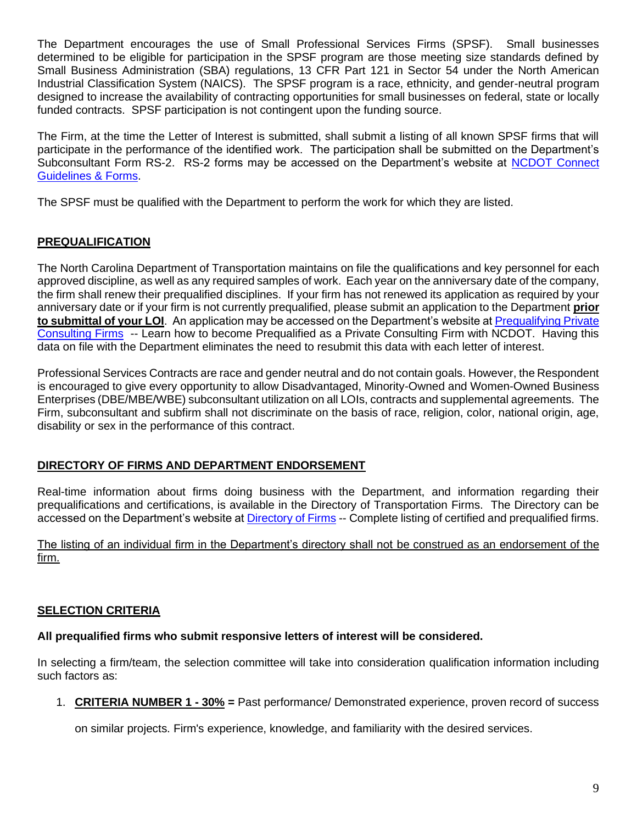The Department encourages the use of Small Professional Services Firms (SPSF). Small businesses determined to be eligible for participation in the SPSF program are those meeting size standards defined by Small Business Administration (SBA) regulations, 13 CFR Part 121 in Sector 54 under the North American Industrial Classification System (NAICS). The SPSF program is a race, ethnicity, and gender-neutral program designed to increase the availability of contracting opportunities for small businesses on federal, state or locally funded contracts. SPSF participation is not contingent upon the funding source.

The Firm, at the time the Letter of Interest is submitted, shall submit a listing of all known SPSF firms that will participate in the performance of the identified work. The participation shall be submitted on the Department's Subconsultant Form RS-2. RS-2 forms may be accessed on the Department's website at [NCDOT Connect](https://connect.ncdot.gov/business/consultants/Pages/Guidelines-Forms.aspx)  [Guidelines & Forms.](https://connect.ncdot.gov/business/consultants/Pages/Guidelines-Forms.aspx)

The SPSF must be qualified with the Department to perform the work for which they are listed.

## **PREQUALIFICATION**

The North Carolina Department of Transportation maintains on file the qualifications and key personnel for each approved discipline, as well as any required samples of work. Each year on the anniversary date of the company, the firm shall renew their prequalified disciplines. If your firm has not renewed its application as required by your anniversary date or if your firm is not currently prequalified, please submit an application to the Department **prior to submittal of your LOI**. An application may be accessed on the Department's website a[t Prequalifying Private](https://connect.ncdot.gov/business/Prequal/Pages/Private-Consulting-Firm.aspx)  [Consulting Firms](https://connect.ncdot.gov/business/Prequal/Pages/Private-Consulting-Firm.aspx) -- Learn how to become Prequalified as a Private Consulting Firm with NCDOT. Having this data on file with the Department eliminates the need to resubmit this data with each letter of interest.

Professional Services Contracts are race and gender neutral and do not contain goals. However, the Respondent is encouraged to give every opportunity to allow Disadvantaged, Minority-Owned and Women-Owned Business Enterprises (DBE/MBE/WBE) subconsultant utilization on all LOIs, contracts and supplemental agreements. The Firm, subconsultant and subfirm shall not discriminate on the basis of race, religion, color, national origin, age, disability or sex in the performance of this contract.

## **DIRECTORY OF FIRMS AND DEPARTMENT ENDORSEMENT**

Real-time information about firms doing business with the Department, and information regarding their prequalifications and certifications, is available in the Directory of Transportation Firms. The Directory can be accessed on the Department's website at [Directory of Firms](https://www.ebs.nc.gov/VendorDirectory/default.html) -- Complete listing of certified and prequalified firms.

The listing of an individual firm in the Department's directory shall not be construed as an endorsement of the firm.

## **SELECTION CRITERIA**

## **All prequalified firms who submit responsive letters of interest will be considered.**

In selecting a firm/team, the selection committee will take into consideration qualification information including such factors as:

1. **CRITERIA NUMBER 1 - 30% =** Past performance/ Demonstrated experience, proven record of success

on similar projects. Firm's experience, knowledge, and familiarity with the desired services.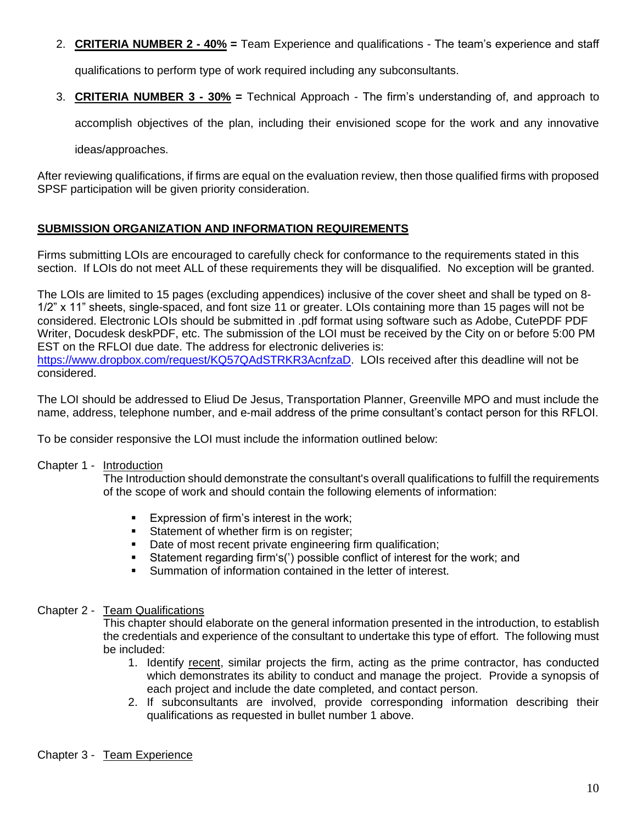2. **CRITERIA NUMBER 2 - 40% =** Team Experience and qualifications - The team's experience and staff

qualifications to perform type of work required including any subconsultants.

3. **CRITERIA NUMBER 3 - 30% =** Technical Approach - The firm's understanding of, and approach to

accomplish objectives of the plan, including their envisioned scope for the work and any innovative

ideas/approaches.

After reviewing qualifications, if firms are equal on the evaluation review, then those qualified firms with proposed SPSF participation will be given priority consideration.

## **SUBMISSION ORGANIZATION AND INFORMATION REQUIREMENTS**

Firms submitting LOIs are encouraged to carefully check for conformance to the requirements stated in this section. If LOIs do not meet ALL of these requirements they will be disqualified. No exception will be granted.

The LOIs are limited to 15 pages (excluding appendices) inclusive of the cover sheet and shall be typed on 8- 1/2" x 11" sheets, single-spaced, and font size 11 or greater. LOIs containing more than 15 pages will not be considered. Electronic LOIs should be submitted in .pdf format using software such as Adobe, CutePDF PDF Writer, Docudesk deskPDF, etc. The submission of the LOI must be received by the City on or before 5:00 PM EST on the RFLOI due date. The address for electronic deliveries is: [https://www.dropbox.com/request/KQ57QAdSTRKR3AcnfzaD.](https://www.dropbox.com/request/KQ57QAdSTRKR3AcnfzaD) LOIs received after this deadline will not be considered.

The LOI should be addressed to Eliud De Jesus, Transportation Planner, Greenville MPO and must include the name, address, telephone number, and e-mail address of the prime consultant's contact person for this RFLOI.

To be consider responsive the LOI must include the information outlined below:

## Chapter 1 - Introduction

The Introduction should demonstrate the consultant's overall qualifications to fulfill the requirements of the scope of work and should contain the following elements of information:

- **Expression of firm's interest in the work;**
- **EXECUTE:** Statement of whether firm is on register;
- Date of most recent private engineering firm qualification;
- Statement regarding firm's(') possible conflict of interest for the work; and
- Summation of information contained in the letter of interest.

#### Chapter 2 - Team Qualifications

This chapter should elaborate on the general information presented in the introduction, to establish the credentials and experience of the consultant to undertake this type of effort. The following must be included:

- 1. Identify recent, similar projects the firm, acting as the prime contractor, has conducted which demonstrates its ability to conduct and manage the project. Provide a synopsis of each project and include the date completed, and contact person.
- 2. If subconsultants are involved, provide corresponding information describing their qualifications as requested in bullet number 1 above.

## Chapter 3 - Team Experience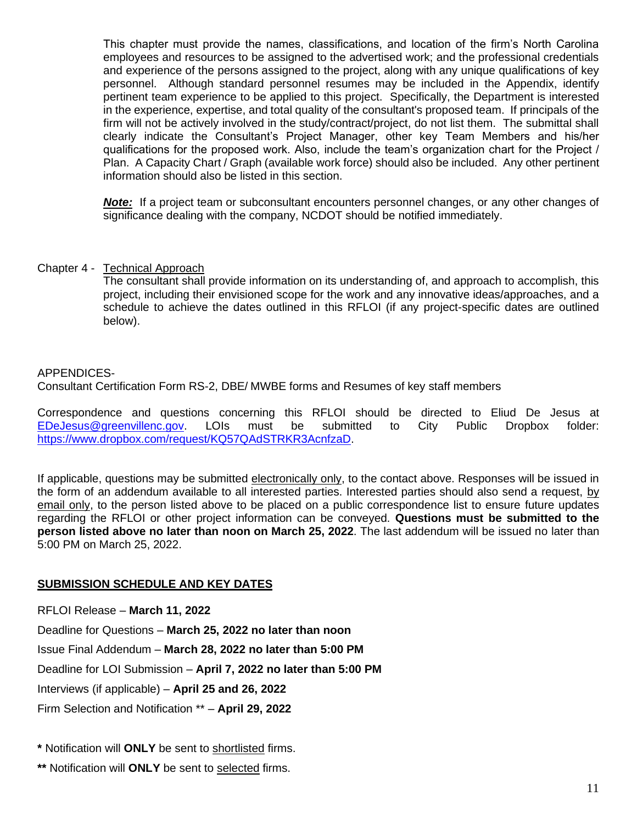This chapter must provide the names, classifications, and location of the firm's North Carolina employees and resources to be assigned to the advertised work; and the professional credentials and experience of the persons assigned to the project, along with any unique qualifications of key personnel. Although standard personnel resumes may be included in the Appendix, identify pertinent team experience to be applied to this project. Specifically, the Department is interested in the experience, expertise, and total quality of the consultant's proposed team. If principals of the firm will not be actively involved in the study/contract/project, do not list them. The submittal shall clearly indicate the Consultant's Project Manager, other key Team Members and his/her qualifications for the proposed work. Also, include the team's organization chart for the Project / Plan. A Capacity Chart / Graph (available work force) should also be included. Any other pertinent information should also be listed in this section.

**Note:** If a project team or subconsultant encounters personnel changes, or any other changes of significance dealing with the company, NCDOT should be notified immediately.

## Chapter 4 - Technical Approach

The consultant shall provide information on its understanding of, and approach to accomplish, this project, including their envisioned scope for the work and any innovative ideas/approaches, and a schedule to achieve the dates outlined in this RFLOI (if any project-specific dates are outlined below).

## APPENDICES-

Consultant Certification Form RS-2, DBE/ MWBE forms and Resumes of key staff members

Correspondence and questions concerning this RFLOI should be directed to Eliud De Jesus at [EDeJesus@greenvillenc.gov.](mailto:EDeJesus@greenvillenc.gov) LOIs must be submitted to City Public Dropbox folder: [https://www.dropbox.com/request/KQ57QAdSTRKR3AcnfzaD.](https://www.dropbox.com/request/KQ57QAdSTRKR3AcnfzaD)

If applicable, questions may be submitted electronically only, to the contact above. Responses will be issued in the form of an addendum available to all interested parties. Interested parties should also send a request, by email only, to the person listed above to be placed on a public correspondence list to ensure future updates regarding the RFLOI or other project information can be conveyed. **Questions must be submitted to the person listed above no later than noon on March 25, 2022**. The last addendum will be issued no later than 5:00 PM on March 25, 2022.

## **SUBMISSION SCHEDULE AND KEY DATES**

RFLOI Release – **March 11, 2022**

Deadline for Questions – **March 25, 2022 no later than noon** Issue Final Addendum – **March 28, 2022 no later than 5:00 PM** Deadline for LOI Submission – **April 7, 2022 no later than 5:00 PM** Interviews (if applicable) – **April 25 and 26, 2022** Firm Selection and Notification \*\* – **April 29, 2022**

**\*** Notification will **ONLY** be sent to shortlisted firms.

**\*\*** Notification will **ONLY** be sent to selected firms.